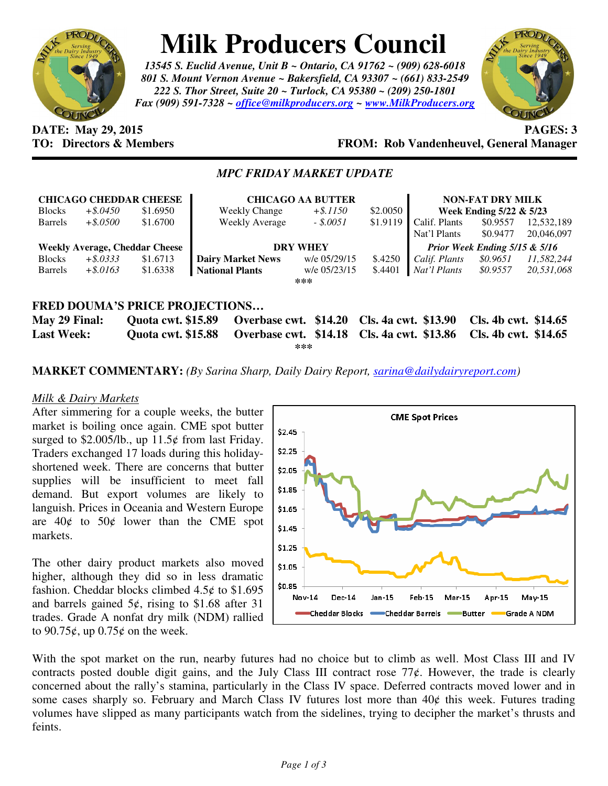

# **Milk Producers Council**

*13545 S. Euclid Avenue, Unit B ~ Ontario, CA 91762 ~ (909) 628-6018 801 S. Mount Vernon Avenue ~ Bakersfield, CA 93307 ~ (661) 833-2549 222 S. Thor Street, Suite 20 ~ Turlock, CA 95380 ~ (209) 250-1801 Fax (909) 591-7328 ~ office@milkproducers.org ~ www.MilkProducers.org*



### **DATE: May 29, 2015 PAGES: 3 TO: Directors & Members FROM: Rob Vandenheuvel, General Manager**

# *MPC FRIDAY MARKET UPDATE*

|                   |             | <b>CHICAGO CHEDDAR CHEESE</b>         | <b>CHICAGO AA BUTTER</b>                   |              |                             | <b>NON-FAT DRY MILK</b>       |                      |            |
|-------------------|-------------|---------------------------------------|--------------------------------------------|--------------|-----------------------------|-------------------------------|----------------------|------------|
| <b>Blocks</b>     | $+$ \$.0450 | \$1.6950                              | <b>Weekly Change</b>                       | $+$ \$.1150  | \$2.0050                    | Week Ending 5/22 & 5/23       |                      |            |
| <b>Barrels</b>    | $+$ \$.0500 | \$1.6700                              | <b>Weekly Average</b>                      | $-.5.0051$   | \$1.9119                    | Calif. Plants                 | \$0.9557             | 12,532,189 |
|                   |             |                                       |                                            |              |                             | Nat'l Plants                  | \$0.9477             | 20,046,097 |
|                   |             | <b>Weekly Average, Cheddar Cheese</b> | <b>DRY WHEY</b>                            |              |                             | Prior Week Ending 5/15 & 5/16 |                      |            |
| <b>Blocks</b>     | $+$ \$.0333 | \$1.6713                              | <b>Dairy Market News</b>                   | w/e 05/29/15 | \$.4250                     | Calif. Plants                 | \$0.9651             | 11,582,244 |
| <b>Barrels</b>    | $+$ \$.0163 | \$1.6338                              | <b>National Plants</b>                     | w/e 05/23/15 | \$.4401                     | Nat'l Plants                  | \$0.9557             | 20,531,068 |
|                   |             |                                       |                                            | ***          |                             |                               |                      |            |
|                   |             |                                       |                                            |              |                             |                               |                      |            |
|                   |             |                                       | <b>FRED DOUMA'S PRICE PROJECTIONS</b>      |              |                             |                               |                      |            |
| May 29 Final:     |             | <b>Quota cwt. \$15.89</b>             | Overbase cwt. \$14.20                      |              | <b>Cls. 4a cwt. \$13.90</b> |                               | Cls. 4b cwt. \$14.65 |            |
| <b>Last Week:</b> |             | <b>Ouota cwt. \$15.88</b>             | Overbase cwt. \$14.18 Cls. 4a cwt. \$13.86 |              |                             |                               | Cls. 4b cwt. \$14.65 |            |

**\*\*\*** 

# **MARKET COMMENTARY:** *(By Sarina Sharp, Daily Dairy Report, sarina@dailydairyreport.com)*

## *Milk & Dairy Markets*

After simmering for a couple weeks, the butter market is boiling once again. CME spot butter surged to  $$2.005/lb$ , up  $11.5¢$  from last Friday. Traders exchanged 17 loads during this holidayshortened week. There are concerns that butter supplies will be insufficient to meet fall demand. But export volumes are likely to languish. Prices in Oceania and Western Europe are  $40¢$  to  $50¢$  lower than the CME spot markets.

The other dairy product markets also moved higher, although they did so in less dramatic fashion. Cheddar blocks climbed  $4.5¢$  to \$1.695 and barrels gained  $5¢$ , rising to \$1.68 after 31 trades. Grade A nonfat dry milk (NDM) rallied to 90.75 $\ell$ , up 0.75 $\ell$  on the week.



With the spot market on the run, nearby futures had no choice but to climb as well. Most Class III and IV contracts posted double digit gains, and the July Class III contract rose  $77¢$ . However, the trade is clearly concerned about the rally's stamina, particularly in the Class IV space. Deferred contracts moved lower and in some cases sharply so. February and March Class IV futures lost more than  $40¢$  this week. Futures trading volumes have slipped as many participants watch from the sidelines, trying to decipher the market's thrusts and feints.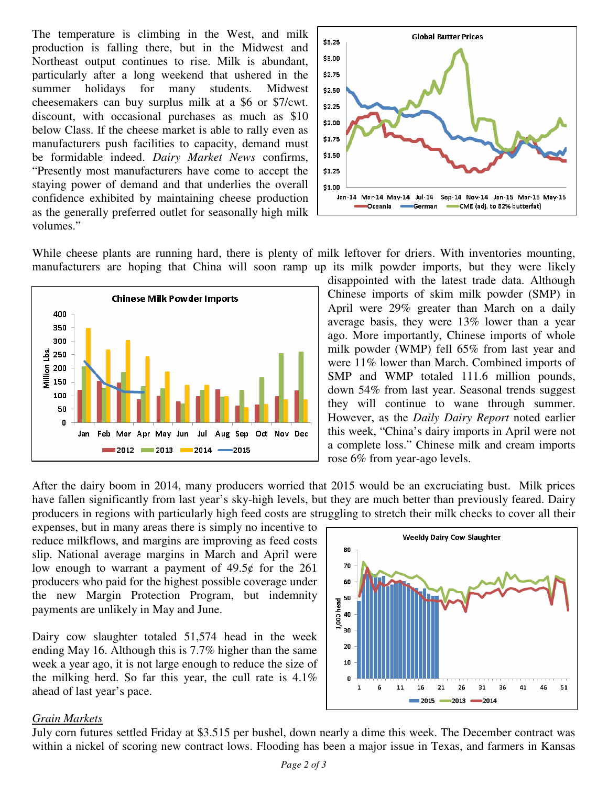The temperature is climbing in the West, and milk production is falling there, but in the Midwest and Northeast output continues to rise. Milk is abundant, particularly after a long weekend that ushered in the summer holidays for many students. Midwest cheesemakers can buy surplus milk at a \$6 or \$7/cwt. discount, with occasional purchases as much as \$10 below Class. If the cheese market is able to rally even as manufacturers push facilities to capacity, demand must be formidable indeed. *Dairy Market News* confirms, "Presently most manufacturers have come to accept the staying power of demand and that underlies the overall confidence exhibited by maintaining cheese production as the generally preferred outlet for seasonally high milk volumes."



While cheese plants are running hard, there is plenty of milk leftover for driers. With inventories mounting, manufacturers are hoping that China will soon ramp up its milk powder imports, but they were likely



disappointed with the latest trade data. Although Chinese imports of skim milk powder (SMP) in April were 29% greater than March on a daily average basis, they were 13% lower than a year ago. More importantly, Chinese imports of whole milk powder (WMP) fell 65% from last year and were 11% lower than March. Combined imports of SMP and WMP totaled 111.6 million pounds, down 54% from last year. Seasonal trends suggest they will continue to wane through summer. However, as the *Daily Dairy Report* noted earlier this week, "China's dairy imports in April were not a complete loss." Chinese milk and cream imports rose 6% from year-ago levels.

After the dairy boom in 2014, many producers worried that 2015 would be an excruciating bust. Milk prices have fallen significantly from last year's sky-high levels, but they are much better than previously feared. Dairy producers in regions with particularly high feed costs are struggling to stretch their milk checks to cover all their

expenses, but in many areas there is simply no incentive to reduce milkflows, and margins are improving as feed costs slip. National average margins in March and April were low enough to warrant a payment of  $49.5¢$  for the 261 producers who paid for the highest possible coverage under the new Margin Protection Program, but indemnity payments are unlikely in May and June.

Dairy cow slaughter totaled 51,574 head in the week ending May 16. Although this is 7.7% higher than the same week a year ago, it is not large enough to reduce the size of the milking herd. So far this year, the cull rate is 4.1% ahead of last year's pace.



#### *Grain Markets*

July corn futures settled Friday at \$3.515 per bushel, down nearly a dime this week. The December contract was within a nickel of scoring new contract lows. Flooding has been a major issue in Texas, and farmers in Kansas